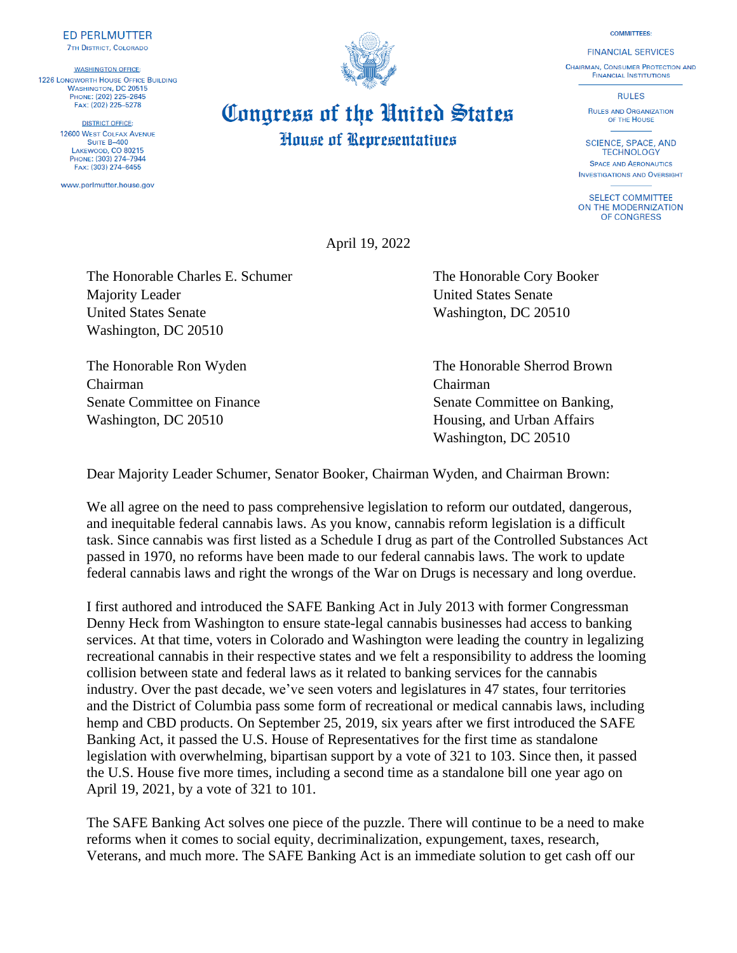**COMMITTEES: FINANCIAL SERVICES** 

**CHAIRMAN, CONSUMER PROTECTION AND FINANCIAL INSTITUTIONS** 

**RULES** 

**RULES AND ORGANIZATION** OF THE HOUSE

**SCIENCE, SPACE, AND TECHNOLOGY SPACE AND AFRONAUTICS INVESTIGATIONS AND OVERSIGHT** 

**SELECT COMMITTEE** ON THE MODERNIZATION OF CONGRESS

**House of Representatives** 

April 19, 2022

Congress of the United States

The Honorable Charles E. Schumer The Honorable Cory Booker Majority Leader **Majority Leader United States Senate** United States Senate Washington, DC 20510 Washington, DC 20510

Chairman Chairman Washington, DC 20510 **Housing, and Urban Affairs** 

The Honorable Ron Wyden The Honorable Sherrod Brown Senate Committee on Finance Senate Committee on Banking, Washington, DC 20510

Dear Majority Leader Schumer, Senator Booker, Chairman Wyden, and Chairman Brown:

We all agree on the need to pass comprehensive legislation to reform our outdated, dangerous, and inequitable federal cannabis laws. As you know, cannabis reform legislation is a difficult task. Since cannabis was first listed as a Schedule I drug as part of the Controlled Substances Act passed in 1970, no reforms have been made to our federal cannabis laws. The work to update federal cannabis laws and right the wrongs of the War on Drugs is necessary and long overdue.

I first authored and introduced the SAFE Banking Act in July 2013 with former Congressman Denny Heck from Washington to ensure state-legal cannabis businesses had access to banking services. At that time, voters in Colorado and Washington were leading the country in legalizing recreational cannabis in their respective states and we felt a responsibility to address the looming collision between state and federal laws as it related to banking services for the cannabis industry. Over the past decade, we've seen voters and legislatures in 47 states, four territories and the District of Columbia pass some form of recreational or medical cannabis laws, including hemp and CBD products. On September 25, 2019, six years after we first introduced the SAFE Banking Act, it passed the U.S. House of Representatives for the first time as standalone legislation with overwhelming, bipartisan support by a vote of 321 to 103. Since then, it passed the U.S. House five more times, including a second time as a standalone bill one year ago on April 19, 2021, by a vote of 321 to 101.

The SAFE Banking Act solves one piece of the puzzle. There will continue to be a need to make reforms when it comes to social equity, decriminalization, expungement, taxes, research, Veterans, and much more. The SAFE Banking Act is an immediate solution to get cash off our



**DISTRICT OFFICE: 12600 WEST COLFAX AVENUE** SUITE B-400 LAKEWOOD, CO 80215 PHONE: (303) 274-7944 FAX: (303) 274-6455

**ED PERLMUTTER 7TH DISTRICT, COLORADO** 

**WASHINGTON OFFICE:** 

**1226 LONGWORTH HOUSE OFFICE BUILDING WASHINGTON, DC 20515**<br>PHONE: (202) 225-2645

FAX: (202) 225-5278

www.perlmutter.house.gov